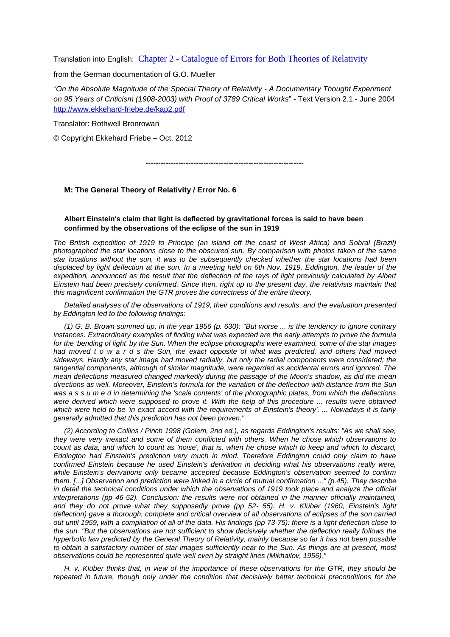Translation into English: Chapter 2 - [Catalogue of Errors for Both Theories of Relativity](http://www.kritik-relativitaetstheorie.de/Anhaenge/Kapitel2-englisch.pdf)

from the German documentation of G.O. Mueller

"*On the Absolute Magnitude of the Special Theory of Relativity - A Documentary Thought Experiment on 95 Years of Criticism (1908-2003) with Proof of 3789 Critical Works*" - Text Version 2.1 - June 2004 <http://www.ekkehard-friebe.de/kap2.pdf>

Translator: Rothwell Bronrowan

© Copyright Ekkehard Friebe – Oct. 2012

**---------------------------------------------------------------**

## **M: The General Theory of Relativity / Error No. 6**

## **Albert Einstein's claim that light is deflected by gravitational forces is said to have been confirmed by the observations of the eclipse of the sun in 1919**

*The British expedition of 1919 to Principe (an island off the coast of West Africa) and Sobral (Brazil) photographed the star locations close to the obscured sun. By comparison with photos taken of the same star locations without the sun, it was to be subsequently checked whether the star locations had been displaced by light deflection at the sun. In a meeting held on 6th Nov. 1919, Eddington, the leader of the expedition, announced as the result that the deflection of the rays of light previously calculated by Albert Einstein had been precisely confirmed. Since then, right up to the present day, the relativists maintain that this magnificent confirmation the GTR proves the correctness of the entire theory.*

*Detailed analyses of the observations of 1919, their conditions and results, and the evaluation presented by Eddington led to the following findings:*

*(1) G. B. Brown summed up, in the year 1956 (p. 630): "But worse ... is the tendency to ignore contrary instances. Extraordinary examples of finding what was expected are the early attempts to prove the formula for the 'bending of light' by the Sun. When the eclipse photographs were examined, some of the star images had moved t o w a r d s the Sun, the exact opposite of what was predicted, and others had moved sideways. Hardly any star image had moved radially, but only the radial components were considered; the tangential components, although of similar magnitude, were regarded as accidental errors and ignored. The mean deflections measured changed markedly during the passage of the Moon's shadow, as did the mean directions as well. Moreover, Einstein's formula for the variation of the deflection with distance from the Sun*  was a s s u m e d in determining the 'scale contents' of the photographic plates, from which the deflections *were derived which were supposed to prove it. With the help of this procedure ... results were obtained which were held to be 'in exact accord with the requirements of Einstein's theory'. ... Nowadays it is fairly generally admitted that this prediction has not been proven."*

*(2) According to Collins / Pinch 1998 (Golem, 2nd ed.), as regards Eddington's results: "As we shall see, they were very inexact and some of them conflicted with others. When he chose which observations to count as data, and which to count as 'noise', that is, when he chose which to keep and which to discard, Eddington had Einstein's prediction very much in mind. Therefore Eddington could only claim to have confirmed Einstein because he used Einstein's derivation in deciding what his observations really were, while Einstein's derivations only became accepted because Eddington's observation seemed to confirm them. [...] Observation and prediction were linked in a circle of mutual confirmation ..." (p.45). They describe in detail the technical conditions under which the observations of 1919 took place and analyze the official interpretations (pp 46-52). Conclusion: the results were not obtained in the manner officially maintained, and they do not prove what they supposedly prove (pp 52- 55). H. v. Klüber (1960, Einstein's light deflection) gave a thorough, complete and critical overview of all observations of eclipses of the son carried out until 1959, with a compilation of all of the data. His findings (pp 73-75): there is a light deflection close to the sun. "But the observations are not sufficient to show decisively whether the deflection really follows the hyperbolic law predicted by the General Theory of Relativity, mainly because so far it has not been possible to obtain a satisfactory number of star-images sufficiently near to the Sun. As things are at present, most observations could be represented quite well even by straight lines (Mikhailov, 1956)."*

*H. v. Klüber thinks that, in view of the importance of these observations for the GTR, they should be repeated in future, though only under the condition that decisively better technical preconditions for the*